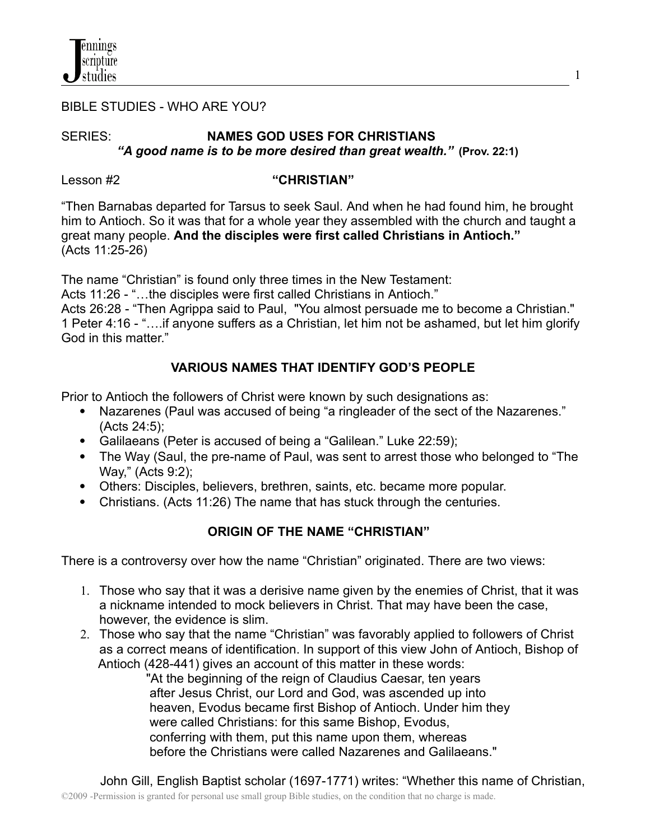

#### BIBLE STUDIES - WHO ARE YOU?

# SERIES: **NAMES GOD USES FOR CHRISTIANS** *"A good name is to be more desired than great wealth."* **(Prov. 22:1)**

### Lesson #2 **"CHRISTIAN"**

"Then Barnabas departed for Tarsus to seek Saul. And when he had found him, he brought him to Antioch. So it was that for a whole year they assembled with the church and taught a great many people. **And the disciples were first called Christians in Antioch."** (Acts 11:25-26)

The name "Christian" is found only three times in the New Testament:

Acts 11:26 - "... the disciples were first called Christians in Antioch."

Acts 26:28 - "Then Agrippa said to Paul, "You almost persuade me to become a Christian." 1 Peter 4:16 - "….if anyone suffers as a Christian, let him not be ashamed, but let him glorify God in this matter."

# **VARIOUS NAMES THAT IDENTIFY GOD'S PEOPLE**

Prior to Antioch the followers of Christ were known by such designations as:

- Nazarenes (Paul was accused of being "a ringleader of the sect of the Nazarenes." (Acts 24:5);
- Galilaeans (Peter is accused of being a "Galilean." Luke 22:59);
- The Way (Saul, the pre-name of Paul, was sent to arrest those who belonged to "The Way," (Acts 9:2);
- Others: Disciples, believers, brethren, saints, etc. became more popular.
- Christians. (Acts 11:26) The name that has stuck through the centuries.

# **ORIGIN OF THE NAME "CHRISTIAN"**

There is a controversy over how the name "Christian" originated. There are two views:

- 1. Those who say that it was a derisive name given by the enemies of Christ, that it was a nickname intended to mock believers in Christ. That may have been the case, however, the evidence is slim.
- 2. Those who say that the name "Christian" was favorably applied to followers of Christ as a correct means of identification. In support of this view John of Antioch, Bishop of Antioch (428-441) gives an account of this matter in these words:

"At the beginning of the reign of Claudius Caesar, ten years after Jesus Christ, our Lord and God, was ascended up into heaven, Evodus became first Bishop of Antioch. Under him they were called Christians: for this same Bishop, Evodus, conferring with them, put this name upon them, whereas before the Christians were called Nazarenes and Galilaeans."

1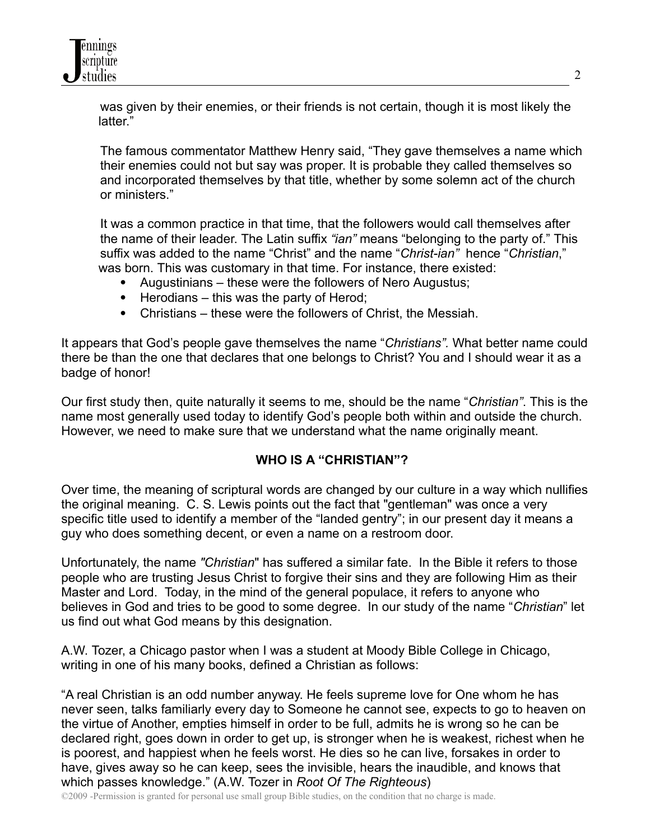

was given by their enemies, or their friends is not certain, though it is most likely the latter."

The famous commentator Matthew Henry said, "They gave themselves a name which their enemies could not but say was proper. It is probable they called themselves so and incorporated themselves by that title, whether by some solemn act of the church or ministers."

It was a common practice in that time, that the followers would call themselves after the name of their leader. The Latin suffix *"ian"* means "belonging to the party of." This suffix was added to the name "Christ" and the name "*Christ-ian"* hence "*Christian*," was born. This was customary in that time. For instance, there existed:

- Augustinians these were the followers of Nero Augustus:
- $\bullet$  Herodians this was the party of Herod;
- Christians these were the followers of Christ, the Messiah.

It appears that God's people gave themselves the name "*Christians".* What better name could there be than the one that declares that one belongs to Christ? You and I should wear it as a badge of honor!

Our first study then, quite naturally it seems to me, should be the name "*Christian"*. This is the name most generally used today to identify God's people both within and outside the church. However, we need to make sure that we understand what the name originally meant.

# **WHO IS A "CHRISTIAN"?**

Over time, the meaning of scriptural words are changed by our culture in a way which nullifies the original meaning. C. S. Lewis points out the fact that "gentleman" was once a very specific title used to identify a member of the "landed gentry"; in our present day it means a guy who does something decent, or even a name on a restroom door.

Unfortunately, the name *"Christian*" has suffered a similar fate. In the Bible it refers to those people who are trusting Jesus Christ to forgive their sins and they are following Him as their Master and Lord. Today, in the mind of the general populace, it refers to anyone who believes in God and tries to be good to some degree. In our study of the name "*Christian*" let us find out what God means by this designation.

A.W. Tozer, a Chicago pastor when I was a student at Moody Bible College in Chicago, writing in one of his many books, defined a Christian as follows:

"A real Christian is an odd number anyway. He feels supreme love for One whom he has never seen, talks familiarly every day to Someone he cannot see, expects to go to heaven on the virtue of Another, empties himself in order to be full, admits he is wrong so he can be declared right, goes down in order to get up, is stronger when he is weakest, richest when he is poorest, and happiest when he feels worst. He dies so he can live, forsakes in order to have, gives away so he can keep, sees the invisible, hears the inaudible, and knows that which passes knowledge." (A.W. Tozer in *Root Of The Righteous*)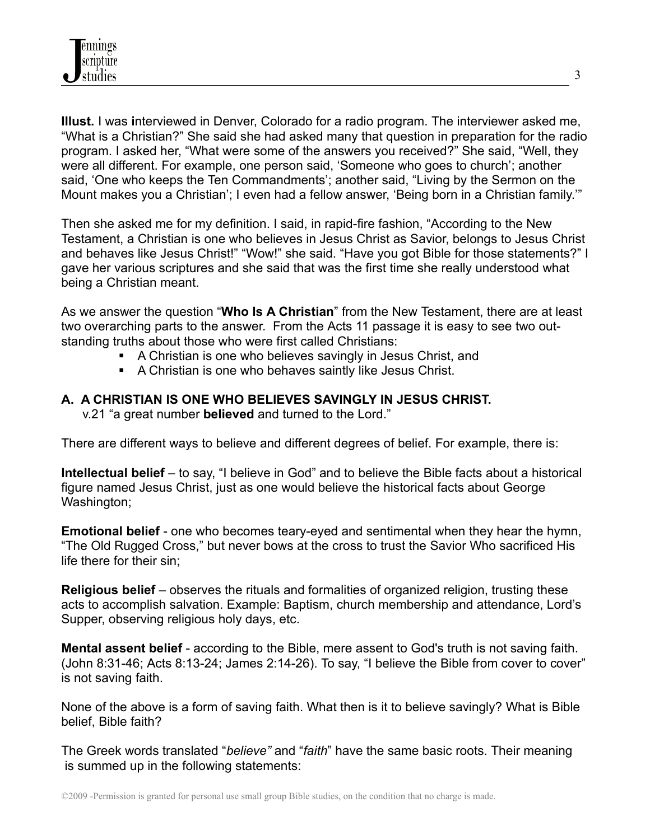**Illust.** I was **i**nterviewed in Denver, Colorado for a radio program. The interviewer asked me, "What is a Christian?" She said she had asked many that question in preparation for the radio program. I asked her, "What were some of the answers you received?" She said, "Well, they were all different. For example, one person said, 'Someone who goes to church'; another said, 'One who keeps the Ten Commandments'; another said, "Living by the Sermon on the Mount makes you a Christian'; I even had a fellow answer, 'Being born in a Christian family.'"

Then she asked me for my definition. I said, in rapid-fire fashion, "According to the New Testament, a Christian is one who believes in Jesus Christ as Savior, belongs to Jesus Christ and behaves like Jesus Christ!" "Wow!" she said. "Have you got Bible for those statements?" I gave her various scriptures and she said that was the first time she really understood what being a Christian meant.

As we answer the question "**Who Is A Christian**" from the New Testament, there are at least two overarching parts to the answer. From the Acts 11 passage it is easy to see two outstanding truths about those who were first called Christians:

- A Christian is one who believes savingly in Jesus Christ, and
- A Christian is one who behaves saintly like Jesus Christ.

## **A. A CHRISTIAN IS ONE WHO BELIEVES SAVINGLY IN JESUS CHRIST.**

v.21 "a great number **believed** and turned to the Lord."

There are different ways to believe and different degrees of belief. For example, there is:

**Intellectual belief** – to say, "I believe in God" and to believe the Bible facts about a historical figure named Jesus Christ, just as one would believe the historical facts about George Washington;

**Emotional belief** - one who becomes teary-eyed and sentimental when they hear the hymn, "The Old Rugged Cross," but never bows at the cross to trust the Savior Who sacrificed His life there for their sin;

**Religious belief** – observes the rituals and formalities of organized religion, trusting these acts to accomplish salvation. Example: Baptism, church membership and attendance, Lord's Supper, observing religious holy days, etc.

**Mental assent belief** - according to the Bible, mere assent to God's truth is not saving faith. (John 8:31-46; Acts 8:13-24; James 2:14-26). To say, "I believe the Bible from cover to cover" is not saving faith.

None of the above is a form of saving faith. What then is it to believe savingly? What is Bible belief, Bible faith?

The Greek words translated "*believe"* and "*faith*" have the same basic roots. Their meaning is summed up in the following statements: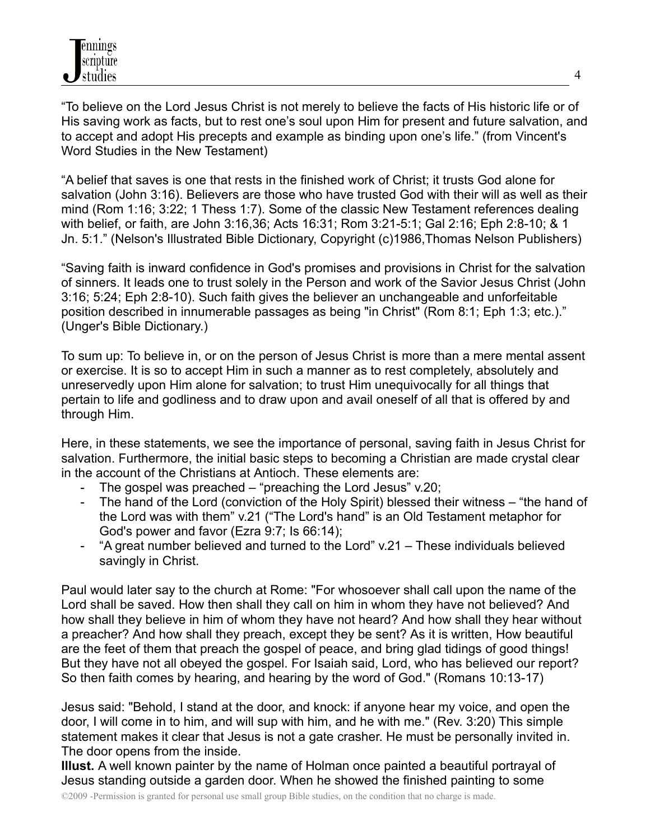"To believe on the Lord Jesus Christ is not merely to believe the facts of His historic life or of His saving work as facts, but to rest one's soul upon Him for present and future salvation, and to accept and adopt His precepts and example as binding upon one's life." (from Vincent's Word Studies in the New Testament)

"A belief that saves is one that rests in the finished work of Christ; it trusts God alone for salvation (John 3:16). Believers are those who have trusted God with their will as well as their mind (Rom 1:16; 3:22; 1 Thess 1:7). Some of the classic New Testament references dealing with belief, or faith, are John 3:16,36; Acts 16:31; Rom 3:21-5:1; Gal 2:16; Eph 2:8-10; & 1 Jn. 5:1." (Nelson's Illustrated Bible Dictionary, Copyright (c)1986,Thomas Nelson Publishers)

"Saving faith is inward confidence in God's promises and provisions in Christ for the salvation of sinners. It leads one to trust solely in the Person and work of the Savior Jesus Christ (John 3:16; 5:24; Eph 2:8-10). Such faith gives the believer an unchangeable and unforfeitable position described in innumerable passages as being "in Christ" (Rom 8:1; Eph 1:3; etc.)." (Unger's Bible Dictionary.)

To sum up: To believe in, or on the person of Jesus Christ is more than a mere mental assent or exercise. It is so to accept Him in such a manner as to rest completely, absolutely and unreservedly upon Him alone for salvation; to trust Him unequivocally for all things that pertain to life and godliness and to draw upon and avail oneself of all that is offered by and through Him.

Here, in these statements, we see the importance of personal, saving faith in Jesus Christ for salvation. Furthermore, the initial basic steps to becoming a Christian are made crystal clear in the account of the Christians at Antioch. These elements are:

- The gospel was preached "preaching the Lord Jesus" v.20;
- The hand of the Lord (conviction of the Holy Spirit) blessed their witness "the hand of the Lord was with them" v.21 ("The Lord's hand" is an Old Testament metaphor for God's power and favor (Ezra 9:7; Is 66:14);
- "A great number believed and turned to the Lord" v.21 These individuals believed savingly in Christ.

Paul would later say to the church at Rome: "For whosoever shall call upon the name of the Lord shall be saved. How then shall they call on him in whom they have not believed? And how shall they believe in him of whom they have not heard? And how shall they hear without a preacher? And how shall they preach, except they be sent? As it is written, How beautiful are the feet of them that preach the gospel of peace, and bring glad tidings of good things! But they have not all obeyed the gospel. For Isaiah said, Lord, who has believed our report? So then faith comes by hearing, and hearing by the word of God." (Romans 10:13-17)

Jesus said: "Behold, I stand at the door, and knock: if anyone hear my voice, and open the door, I will come in to him, and will sup with him, and he with me." (Rev. 3:20) This simple statement makes it clear that Jesus is not a gate crasher. He must be personally invited in. The door opens from the inside.

**Illust.** A well known painter by the name of Holman once painted a beautiful portrayal of Jesus standing outside a garden door. When he showed the finished painting to some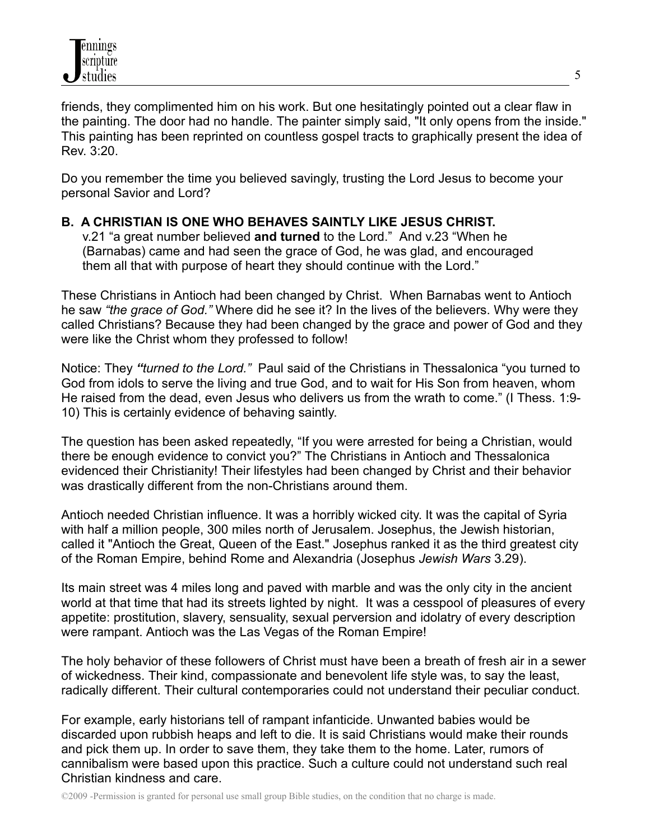friends, they complimented him on his work. But one hesitatingly pointed out a clear flaw in the painting. The door had no handle. The painter simply said, "It only opens from the inside." This painting has been reprinted on countless gospel tracts to graphically present the idea of Rev. 3:20.

Do you remember the time you believed savingly, trusting the Lord Jesus to become your personal Savior and Lord?

# **B. A CHRISTIAN IS ONE WHO BEHAVES SAINTLY LIKE JESUS CHRIST.**

v.21 "a great number believed **and turned** to the Lord." And v.23 "When he (Barnabas) came and had seen the grace of God, he was glad, and encouraged them all that with purpose of heart they should continue with the Lord."

These Christians in Antioch had been changed by Christ. When Barnabas went to Antioch he saw *"the grace of God."* Where did he see it? In the lives of the believers. Why were they called Christians? Because they had been changed by the grace and power of God and they were like the Christ whom they professed to follow!

Notice: They *"turned to the Lord."* Paul said of the Christians in Thessalonica "you turned to God from idols to serve the living and true God, and to wait for His Son from heaven, whom He raised from the dead, even Jesus who delivers us from the wrath to come." (I Thess. 1:9- 10) This is certainly evidence of behaving saintly.

The question has been asked repeatedly, "If you were arrested for being a Christian, would there be enough evidence to convict you?" The Christians in Antioch and Thessalonica evidenced their Christianity! Their lifestyles had been changed by Christ and their behavior was drastically different from the non-Christians around them.

Antioch needed Christian influence. It was a horribly wicked city. It was the capital of Syria with half a million people, 300 miles north of Jerusalem. Josephus, the Jewish historian, called it "Antioch the Great, Queen of the East." Josephus ranked it as the third greatest city of the Roman Empire, behind Rome and Alexandria (Josephus *Jewish Wars* 3.29).

Its main street was 4 miles long and paved with marble and was the only city in the ancient world at that time that had its streets lighted by night. It was a cesspool of pleasures of every appetite: prostitution, slavery, sensuality, sexual perversion and idolatry of every description were rampant. Antioch was the Las Vegas of the Roman Empire!

The holy behavior of these followers of Christ must have been a breath of fresh air in a sewer of wickedness. Their kind, compassionate and benevolent life style was, to say the least, radically different. Their cultural contemporaries could not understand their peculiar conduct.

For example, early historians tell of rampant infanticide. Unwanted babies would be discarded upon rubbish heaps and left to die. It is said Christians would make their rounds and pick them up. In order to save them, they take them to the home. Later, rumors of cannibalism were based upon this practice. Such a culture could not understand such real Christian kindness and care.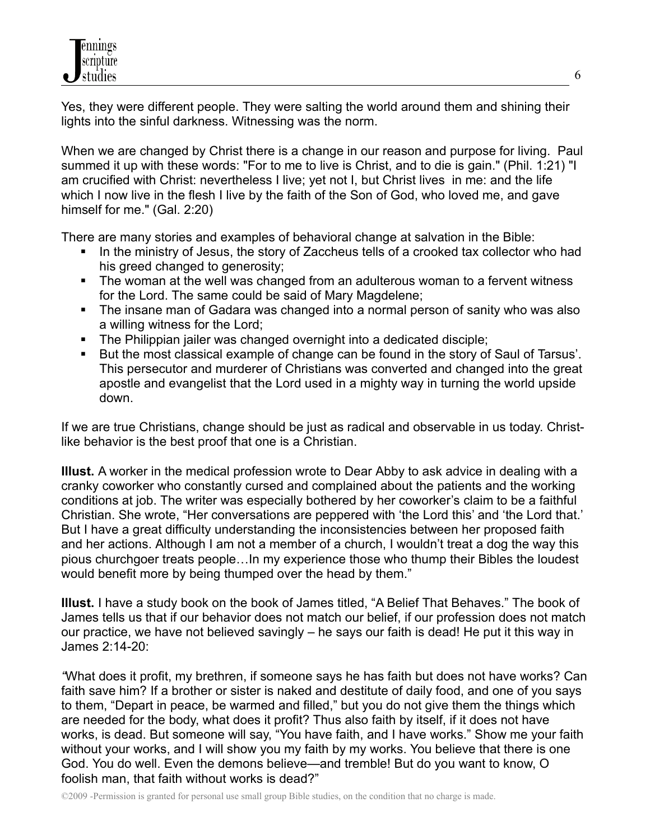Yes, they were different people. They were salting the world around them and shining their lights into the sinful darkness. Witnessing was the norm.

When we are changed by Christ there is a change in our reason and purpose for living. Paul summed it up with these words: "For to me to live is Christ, and to die is gain." (Phil. 1:21) "I am crucified with Christ: nevertheless I live; yet not I, but Christ lives in me: and the life which I now live in the flesh I live by the faith of the Son of God, who loved me, and gave himself for me." (Gal. 2:20)

There are many stories and examples of behavioral change at salvation in the Bible:

- In the ministry of Jesus, the story of Zaccheus tells of a crooked tax collector who had his greed changed to generosity;
- The woman at the well was changed from an adulterous woman to a fervent witness for the Lord. The same could be said of Mary Magdelene;
- The insane man of Gadara was changed into a normal person of sanity who was also a willing witness for the Lord;
- The Philippian jailer was changed overnight into a dedicated disciple;
- But the most classical example of change can be found in the story of Saul of Tarsus'. This persecutor and murderer of Christians was converted and changed into the great apostle and evangelist that the Lord used in a mighty way in turning the world upside down.

If we are true Christians, change should be just as radical and observable in us today. Christlike behavior is the best proof that one is a Christian.

**Illust.** A worker in the medical profession wrote to Dear Abby to ask advice in dealing with a cranky coworker who constantly cursed and complained about the patients and the working conditions at job. The writer was especially bothered by her coworker's claim to be a faithful Christian. She wrote, "Her conversations are peppered with 'the Lord this' and 'the Lord that.' But I have a great difficulty understanding the inconsistencies between her proposed faith and her actions. Although I am not a member of a church, I wouldn't treat a dog the way this pious churchgoer treats people…In my experience those who thump their Bibles the loudest would benefit more by being thumped over the head by them."

**Illust.** I have a study book on the book of James titled, "A Belief That Behaves." The book of James tells us that if our behavior does not match our belief, if our profession does not match our practice, we have not believed savingly – he says our faith is dead! He put it this way in James 2:14-20:

*"*What does it profit, my brethren, if someone says he has faith but does not have works? Can faith save him? If a brother or sister is naked and destitute of daily food, and one of you says to them, "Depart in peace, be warmed and filled," but you do not give them the things which are needed for the body, what does it profit? Thus also faith by itself, if it does not have works, is dead. But someone will say, "You have faith, and I have works." Show me your faith without your works, and I will show you my faith by my works. You believe that there is one God. You do well. Even the demons believe—and tremble! But do you want to know, O foolish man, that faith without works is dead?"